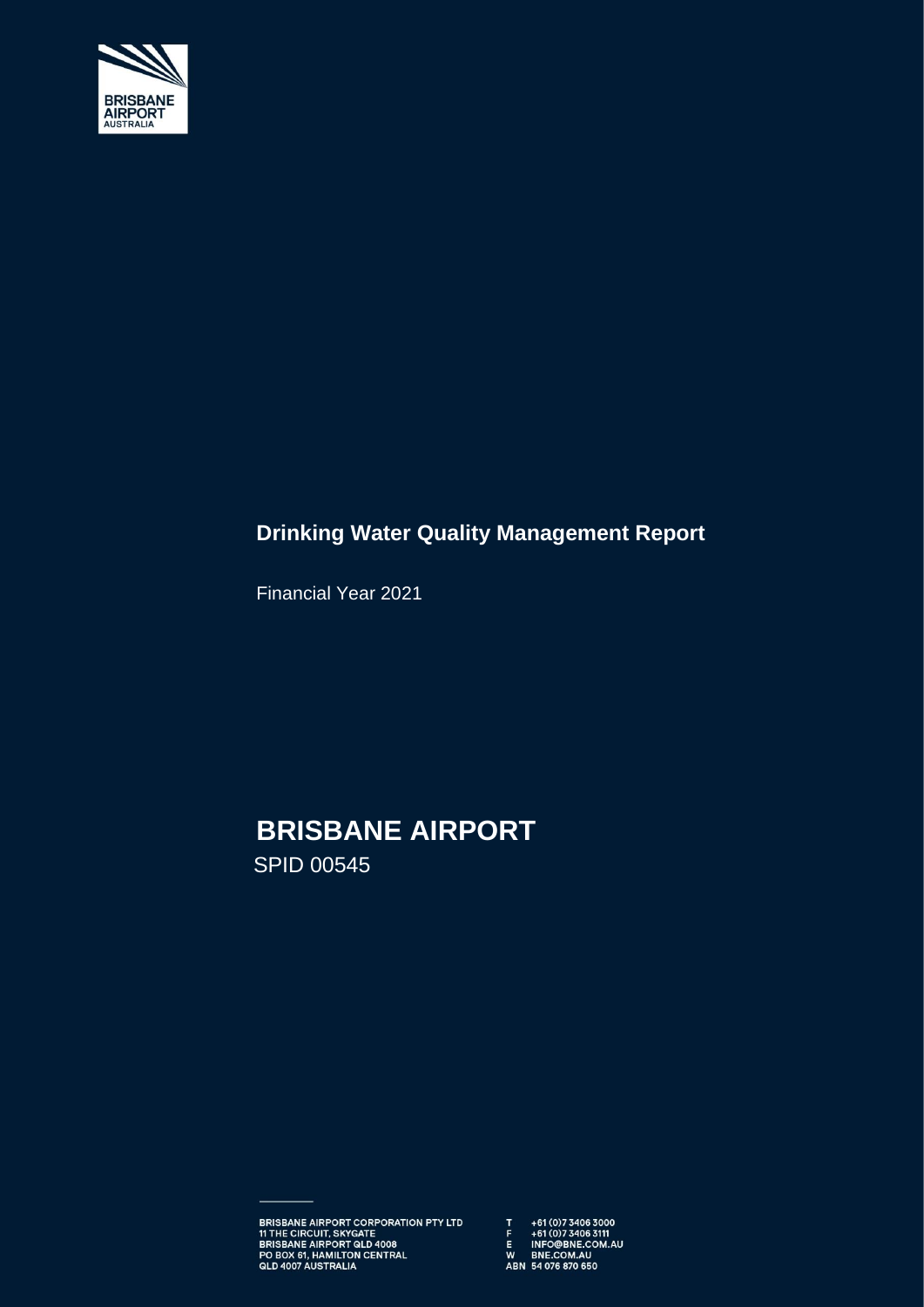

# **Drinking Water Quality Management Report**

Financial Year 2021

# **BRISBANE AIRPORT**

SPID 00545

BRISBANE AIRPORT CORPORATION PTY LTD  $\begin{array}{ccc} 17 & +61 \times 0 & 734063000 \\ 11 \text{ THE CIRCUIT, SKYGATE} & \text{F} & +61 \times 0 & 734063111 \\ \text{BRISBANE AIRPORT QLD 4008} & \text{E} & \text{INFO@BNE.COM.AU} \\ \text{PO BOK 61, HAMILTON CENTRAL} & \text{W} & \text{BNE.COM.AU} \\ \text{QLD 4007 AUSTRALIA} & \text{ABN 54 076 870 650}$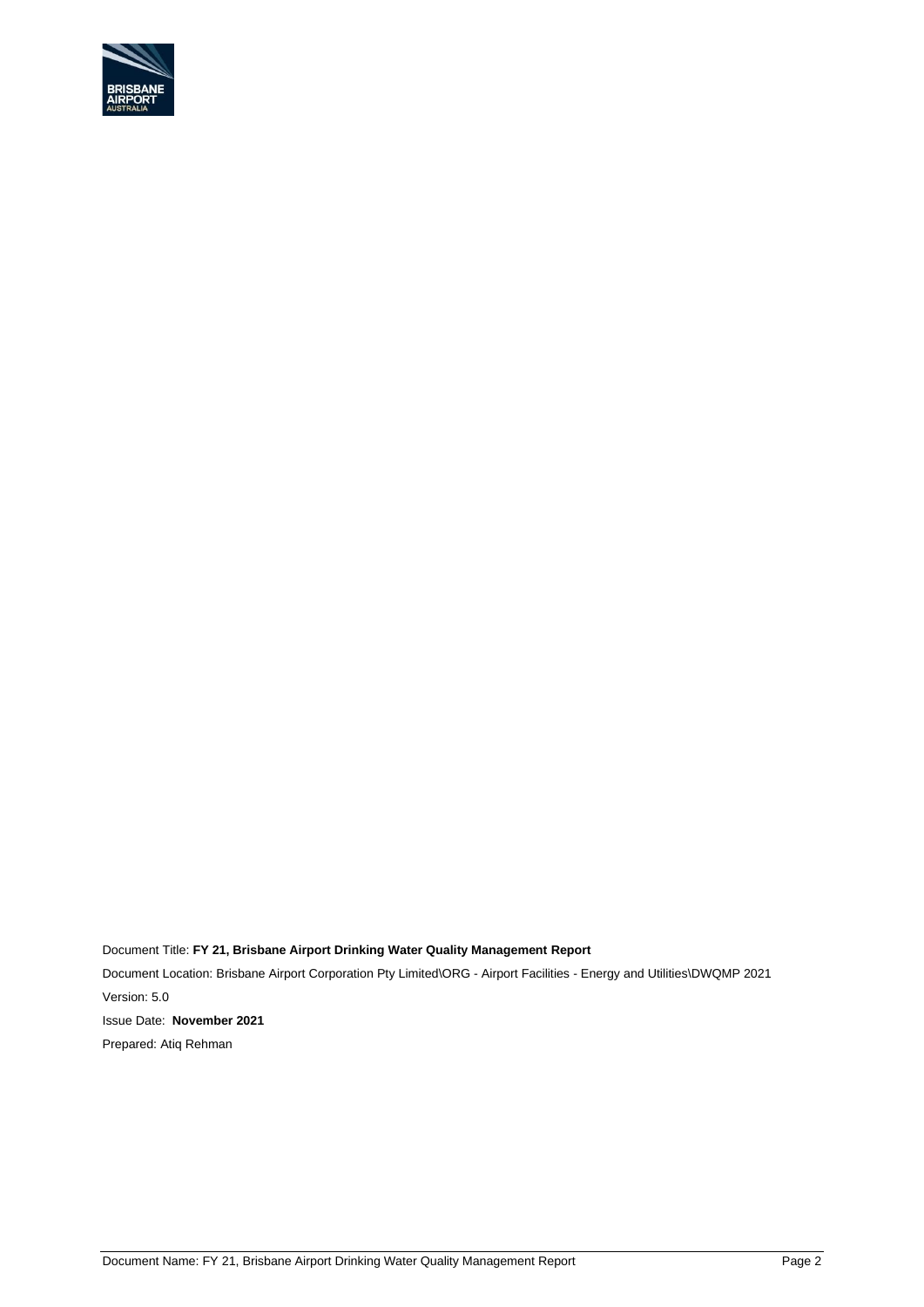

Document Title: **FY 21, Brisbane Airport Drinking Water Quality Management Report** Document Location: Brisbane Airport Corporation Pty Limited\ORG - Airport Facilities - Energy and Utilities\DWQMP 2021 Version: 5.0 Issue Date: **November 2021** Prepared: Atiq Rehman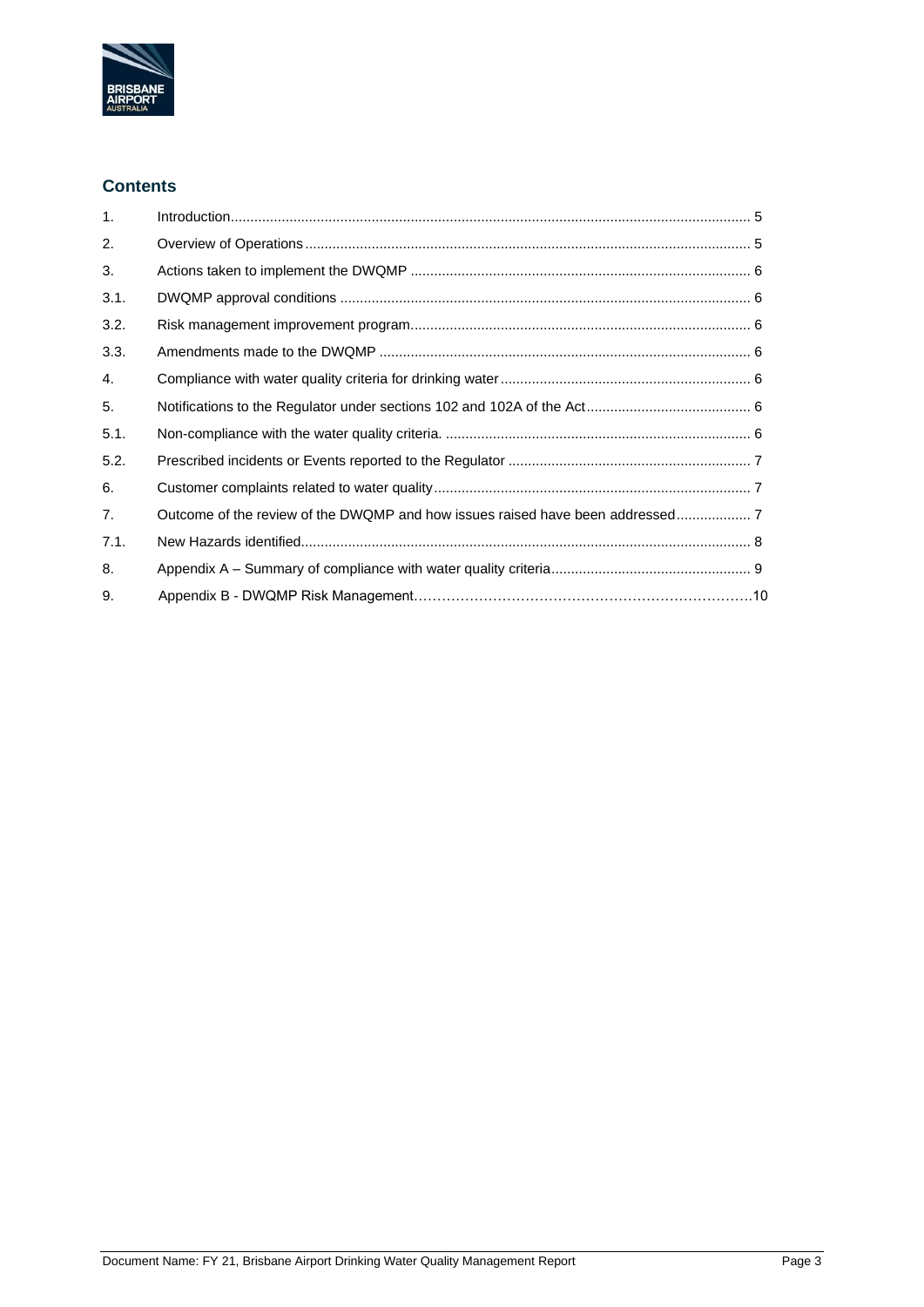

### **Contents**

| 1 <sub>1</sub> |  |
|----------------|--|
| 2.             |  |
| 3.             |  |
| 3.1.           |  |
| 3.2.           |  |
| 3.3.           |  |
| 4.             |  |
| 5.             |  |
| 5.1.           |  |
| 5.2.           |  |
| 6.             |  |
| 7 <sub>1</sub> |  |
| 7.1.           |  |
| 8.             |  |
| 9.             |  |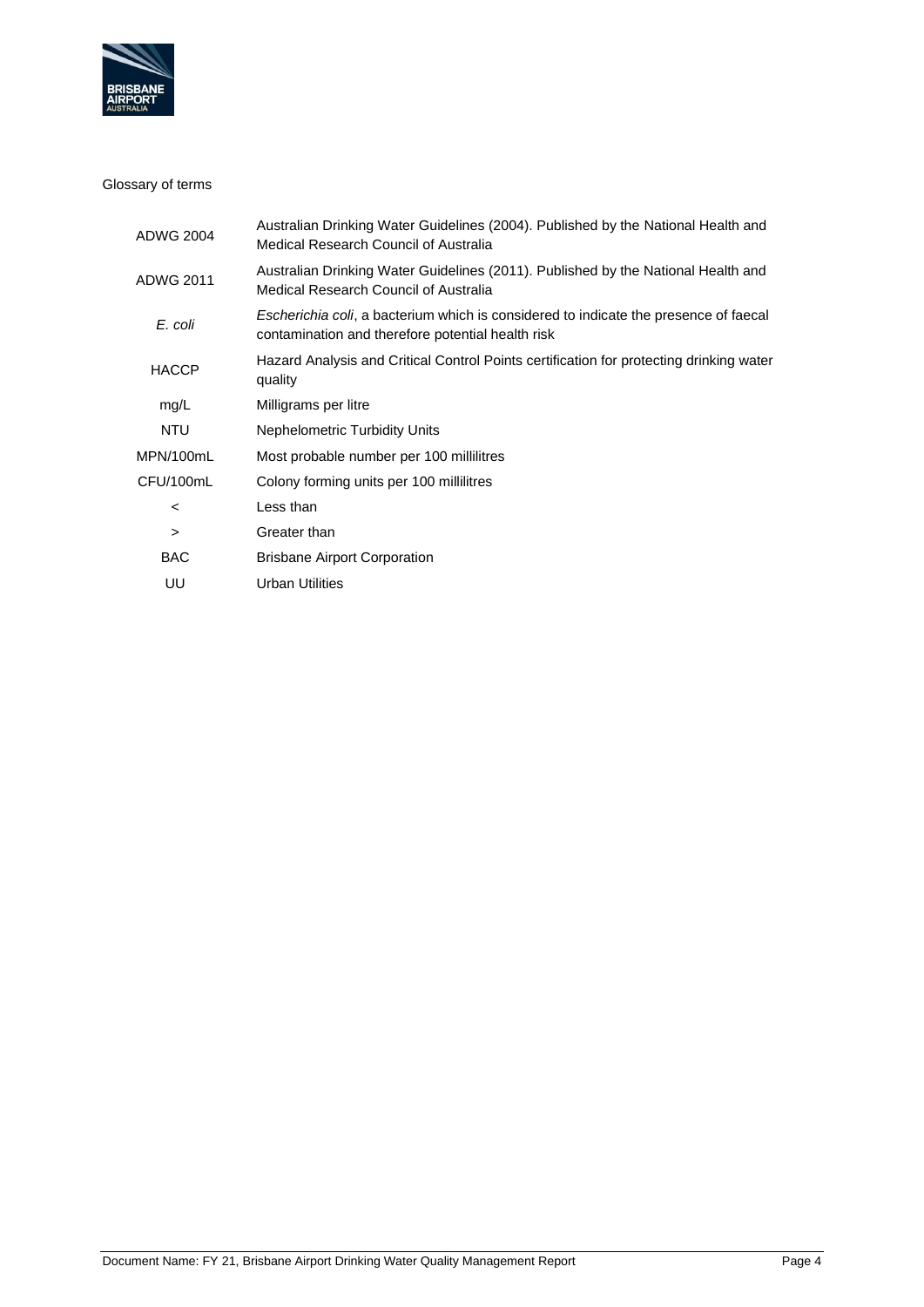

#### Glossary of terms

| ADWG 2004    | Australian Drinking Water Guidelines (2004). Published by the National Health and<br>Medical Research Council of Australia                |
|--------------|-------------------------------------------------------------------------------------------------------------------------------------------|
| ADWG 2011    | Australian Drinking Water Guidelines (2011). Published by the National Health and<br>Medical Research Council of Australia                |
| E. coli      | Escherichia coli, a bacterium which is considered to indicate the presence of faecal<br>contamination and therefore potential health risk |
| <b>HACCP</b> | Hazard Analysis and Critical Control Points certification for protecting drinking water<br>quality                                        |
| mg/L         | Milligrams per litre                                                                                                                      |
| NTU          | <b>Nephelometric Turbidity Units</b>                                                                                                      |
| MPN/100mL    | Most probable number per 100 millilitres                                                                                                  |
| CFU/100mL    | Colony forming units per 100 millilitres                                                                                                  |
| $\,<\,$      | Less than                                                                                                                                 |
| $\geq$       | Greater than                                                                                                                              |
| BAC.         | <b>Brisbane Airport Corporation</b>                                                                                                       |
| UU           | Urban Utilities                                                                                                                           |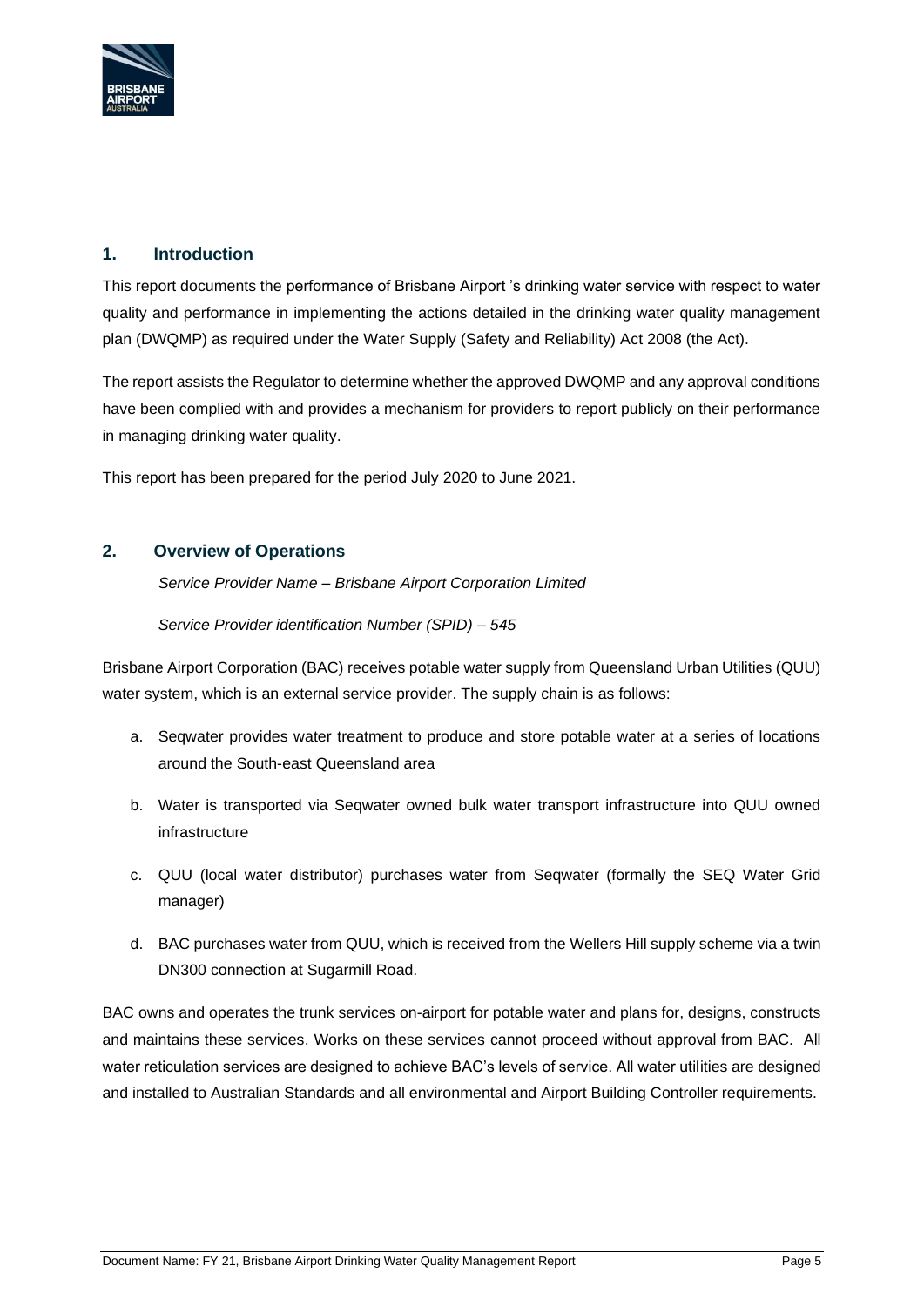

# <span id="page-4-0"></span>**1. Introduction**

This report documents the performance of Brisbane Airport 's drinking water service with respect to water quality and performance in implementing the actions detailed in the drinking water quality management plan (DWQMP) as required under the Water Supply (Safety and Reliability) Act 2008 (the Act).

The report assists the Regulator to determine whether the approved DWQMP and any approval conditions have been complied with and provides a mechanism for providers to report publicly on their performance in managing drinking water quality.

This report has been prepared for the period July 2020 to June 2021.

#### <span id="page-4-1"></span>**2. Overview of Operations**

*Service Provider Name – Brisbane Airport Corporation Limited*

*Service Provider identification Number (SPID) – 545* 

Brisbane Airport Corporation (BAC) receives potable water supply from Queensland Urban Utilities (QUU) water system, which is an external service provider. The supply chain is as follows:

- a. Seqwater provides water treatment to produce and store potable water at a series of locations around the South-east Queensland area
- b. Water is transported via Seqwater owned bulk water transport infrastructure into QUU owned infrastructure
- c. QUU (local water distributor) purchases water from Seqwater (formally the SEQ Water Grid manager)
- d. BAC purchases water from QUU, which is received from the Wellers Hill supply scheme via a twin DN300 connection at Sugarmill Road.

BAC owns and operates the trunk services on-airport for potable water and plans for, designs, constructs and maintains these services. Works on these services cannot proceed without approval from BAC. All water reticulation services are designed to achieve BAC's levels of service. All water utilities are designed and installed to Australian Standards and all environmental and Airport Building Controller requirements.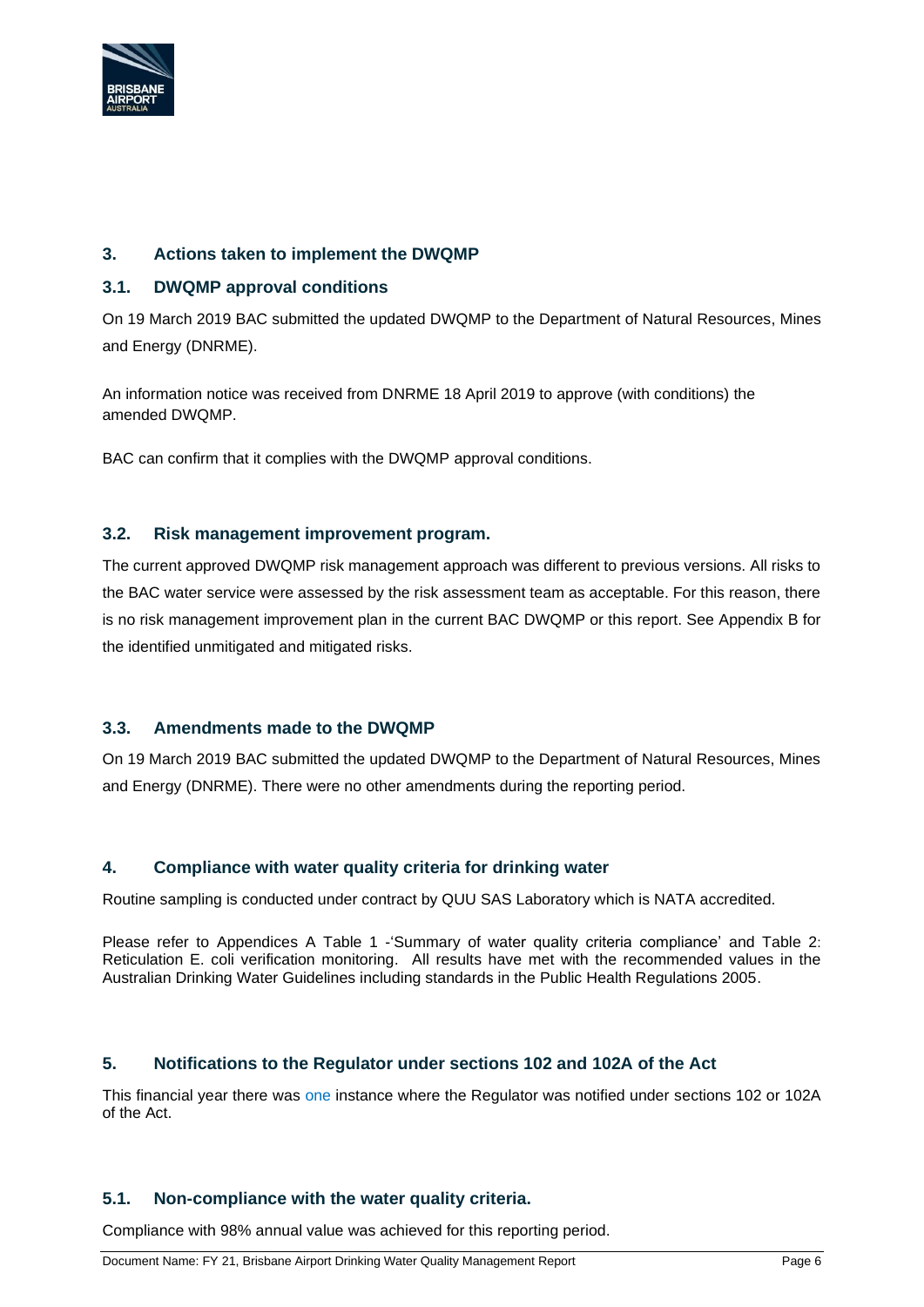

# <span id="page-5-0"></span>**3. Actions taken to implement the DWQMP**

#### <span id="page-5-1"></span>**3.1. DWQMP approval conditions**

On 19 March 2019 BAC submitted the updated DWQMP to the Department of Natural Resources, Mines and Energy (DNRME).

An information notice was received from DNRME 18 April 2019 to approve (with conditions) the amended DWQMP.

BAC can confirm that it complies with the DWQMP approval conditions.

#### <span id="page-5-2"></span>**3.2. Risk management improvement program.**

The current approved DWQMP risk management approach was different to previous versions. All risks to the BAC water service were assessed by the risk assessment team as acceptable. For this reason, there is no risk management improvement plan in the current BAC DWQMP or this report. See Appendix B for the identified unmitigated and mitigated risks.

#### <span id="page-5-3"></span>**3.3. Amendments made to the DWQMP**

On 19 March 2019 BAC submitted the updated DWQMP to the Department of Natural Resources, Mines and Energy (DNRME). There were no other amendments during the reporting period.

#### <span id="page-5-4"></span>**4. Compliance with water quality criteria for drinking water**

Routine sampling is conducted under contract by QUU SAS Laboratory which is NATA accredited.

Please refer to Appendices A Table 1 -'Summary of water quality criteria compliance' and Table 2: Reticulation E. coli verification monitoring. All results have met with the recommended values in the Australian Drinking Water Guidelines including standards in the Public Health Regulations 2005.

#### <span id="page-5-5"></span>**5. Notifications to the Regulator under sections 102 and 102A of the Act**

This financial year there was one instance where the Regulator was notified under sections 102 or 102A of the Act.

#### <span id="page-5-6"></span>**5.1. Non-compliance with the water quality criteria.**

Compliance with 98% annual value was achieved for this reporting period.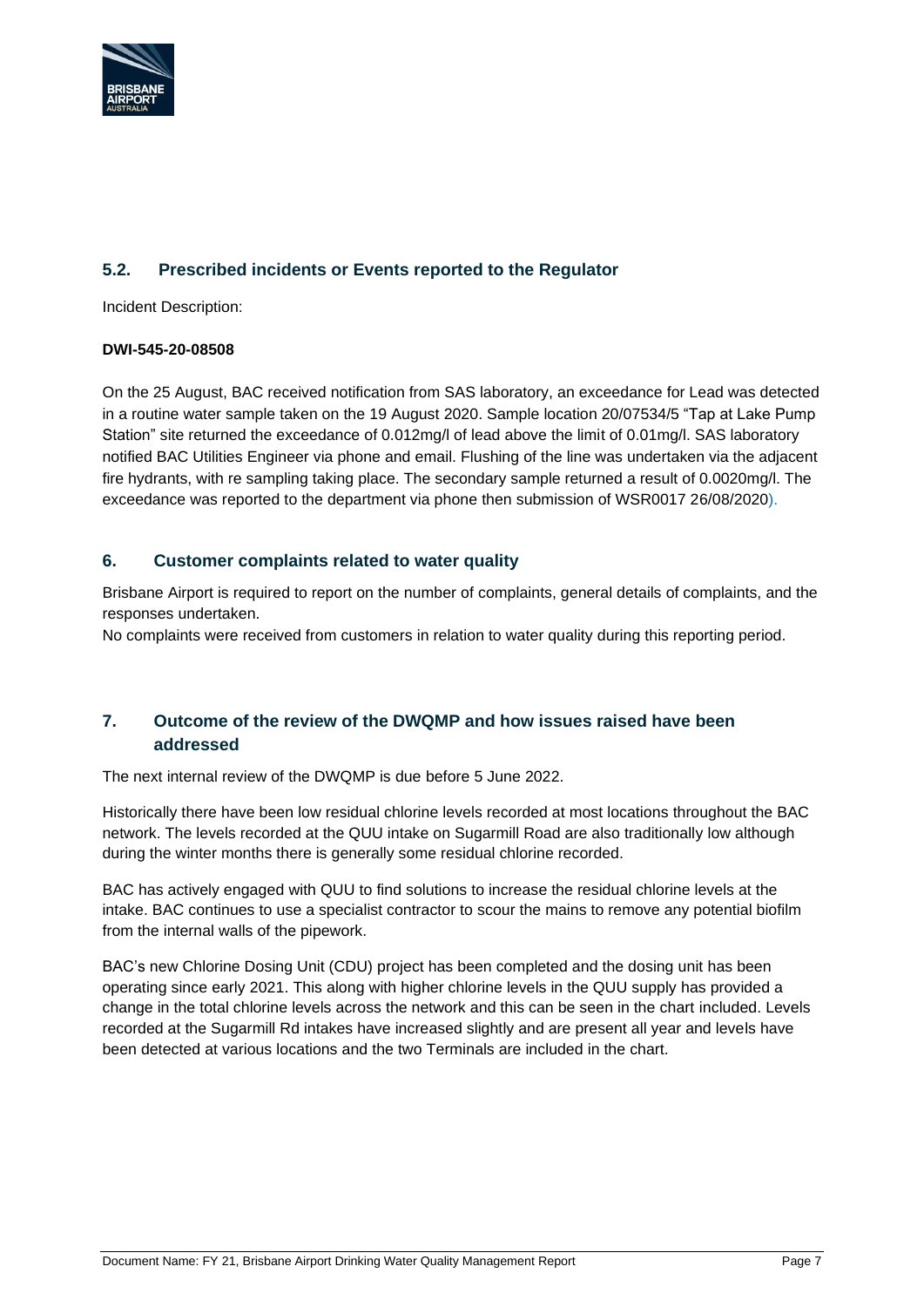

# <span id="page-6-0"></span>**5.2. Prescribed incidents or Events reported to the Regulator**

Incident Description:

#### **DWI-545-20-08508**

On the 25 August, BAC received notification from SAS laboratory, an exceedance for Lead was detected in a routine water sample taken on the 19 August 2020. Sample location 20/07534/5 "Tap at Lake Pump Station" site returned the exceedance of 0.012mg/l of lead above the limit of 0.01mg/l. SAS laboratory notified BAC Utilities Engineer via phone and email. Flushing of the line was undertaken via the adjacent fire hydrants, with re sampling taking place. The secondary sample returned a result of 0.0020mg/l. The exceedance was reported to the department via phone then submission of WSR0017 26/08/2020).

#### <span id="page-6-1"></span>**6. Customer complaints related to water quality**

Brisbane Airport is required to report on the number of complaints, general details of complaints, and the responses undertaken.

No complaints were received from customers in relation to water quality during this reporting period.

#### <span id="page-6-2"></span>**7. Outcome of the review of the DWQMP and how issues raised have been addressed**

The next internal review of the DWQMP is due before 5 June 2022.

Historically there have been low residual chlorine levels recorded at most locations throughout the BAC network. The levels recorded at the QUU intake on Sugarmill Road are also traditionally low although during the winter months there is generally some residual chlorine recorded.

BAC has actively engaged with QUU to find solutions to increase the residual chlorine levels at the intake. BAC continues to use a specialist contractor to scour the mains to remove any potential biofilm from the internal walls of the pipework.

BAC's new Chlorine Dosing Unit (CDU) project has been completed and the dosing unit has been operating since early 2021. This along with higher chlorine levels in the QUU supply has provided a change in the total chlorine levels across the network and this can be seen in the chart included. Levels recorded at the Sugarmill Rd intakes have increased slightly and are present all year and levels have been detected at various locations and the two Terminals are included in the chart.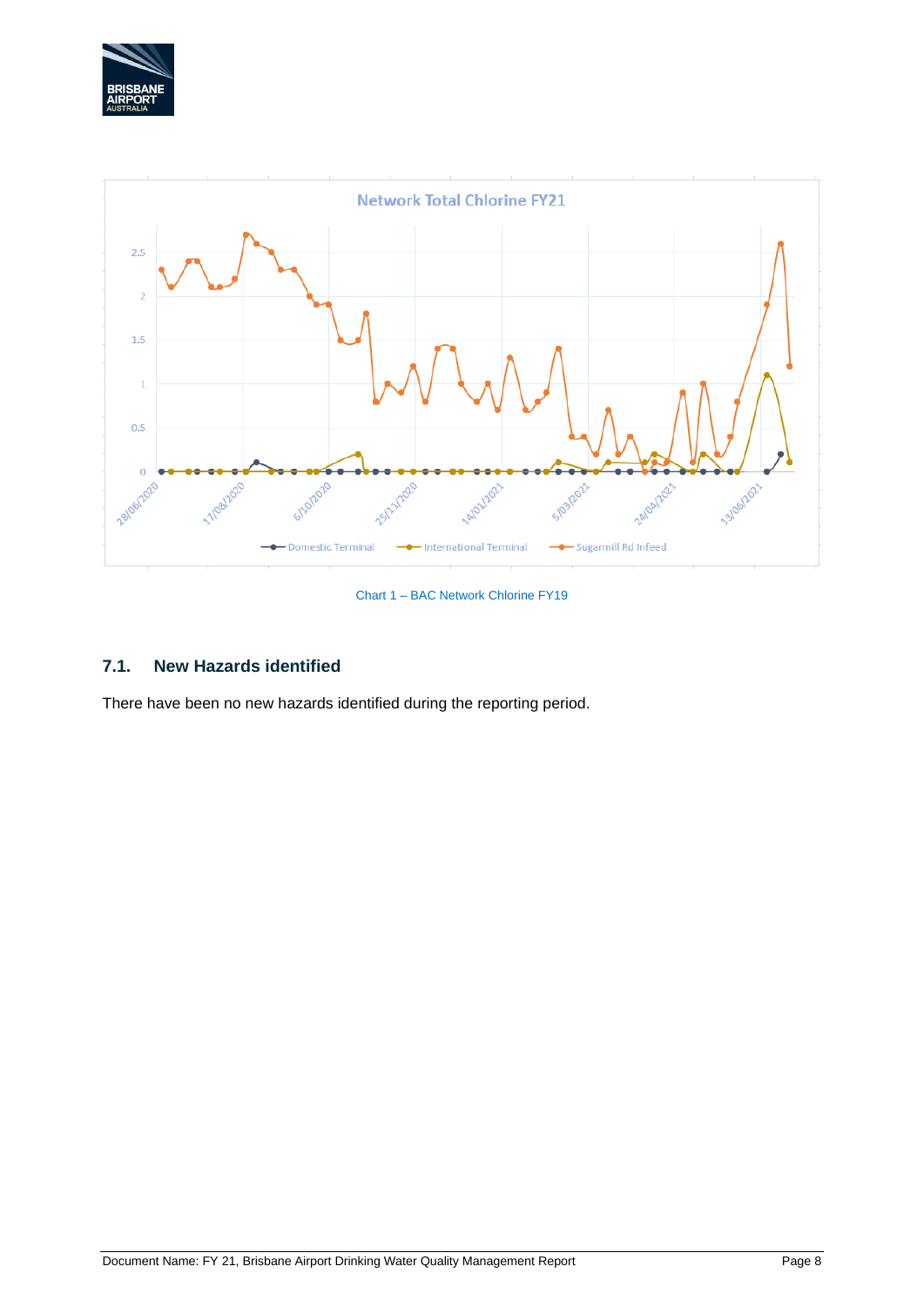



Chart 1 – BAC Network Chlorine FY19

# <span id="page-7-0"></span>**7.1. New Hazards identified**

There have been no new hazards identified during the reporting period.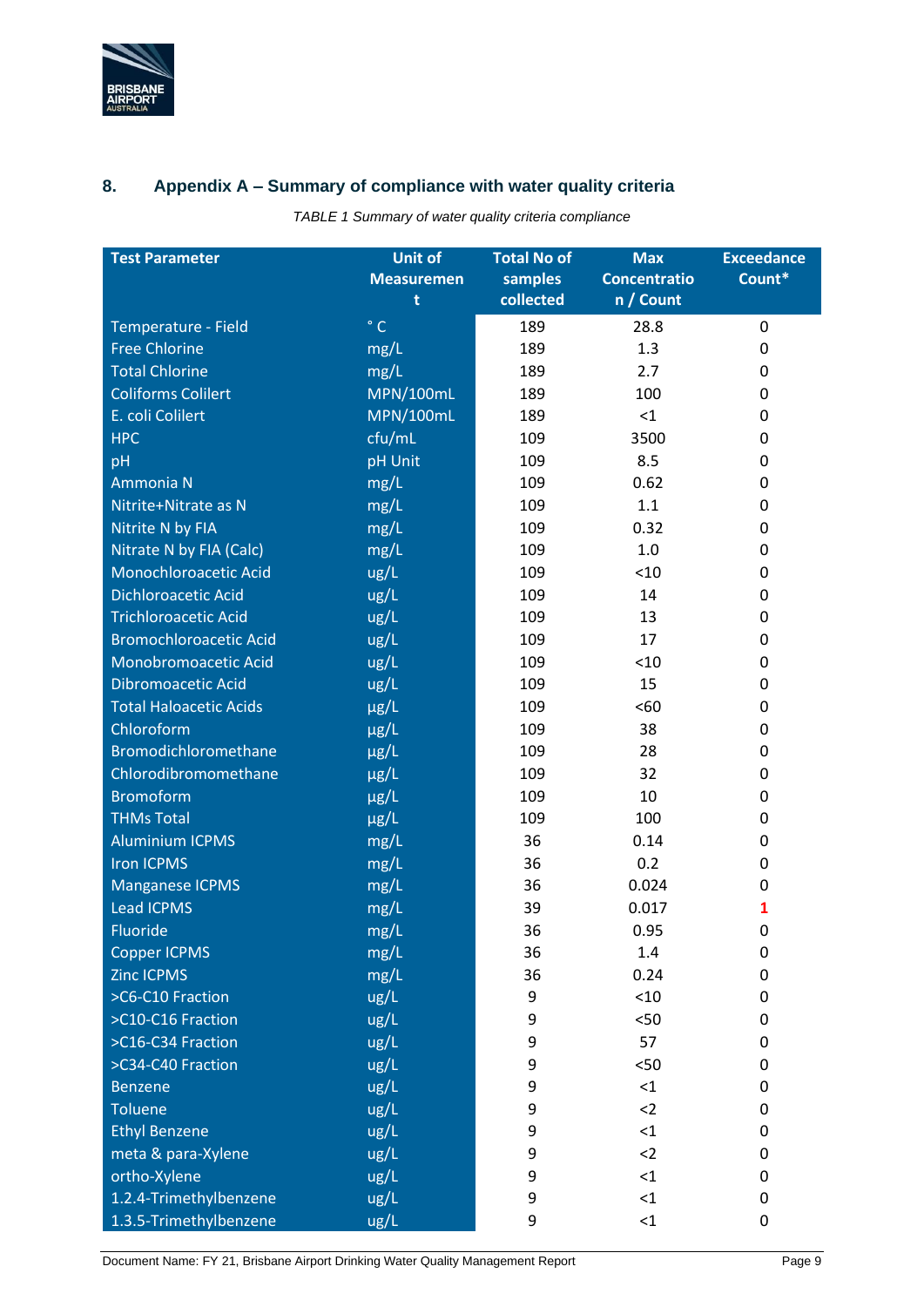

# <span id="page-8-0"></span>**8. Appendix A – Summary of compliance with water quality criteria**

*TABLE 1 Summary of water quality criteria compliance*

| <b>Test Parameter</b>         | <b>Unit of</b>    | <b>Total No of</b> | <b>Max</b>          | <b>Exceedance</b> |  |  |
|-------------------------------|-------------------|--------------------|---------------------|-------------------|--|--|
|                               | <b>Measuremen</b> | samples            | <b>Concentratio</b> | Count*            |  |  |
|                               | t                 | collected          | n / Count           |                   |  |  |
| Temperature - Field           | $\degree$ C       | 189                | 28.8                | 0                 |  |  |
| <b>Free Chlorine</b>          | mg/L              | 189                | 1.3                 | 0                 |  |  |
| <b>Total Chlorine</b>         | mg/L              | 189                | 2.7                 | 0                 |  |  |
| <b>Coliforms Colilert</b>     | <b>MPN/100mL</b>  | 189                | 100                 | 0                 |  |  |
| E. coli Colilert              | <b>MPN/100mL</b>  | 189                | $<$ 1               | 0                 |  |  |
| <b>HPC</b>                    | cfu/mL            | 109                | 3500                | 0                 |  |  |
| pH                            | pH Unit           | 109                | 8.5                 | 0                 |  |  |
| Ammonia N                     | mg/L              | 109                | 0.62                | 0                 |  |  |
| Nitrite+Nitrate as N          | mg/L              | 109                | 1.1                 | 0                 |  |  |
| Nitrite N by FIA              | mg/L              | 109                | 0.32                | 0                 |  |  |
| Nitrate N by FIA (Calc)       | mg/L              | 109                | 1.0                 | 0                 |  |  |
| Monochloroacetic Acid         | ug/L              | 109                | < 10                | 0                 |  |  |
| <b>Dichloroacetic Acid</b>    | ug/L              | 109                | 14                  | 0                 |  |  |
| <b>Trichloroacetic Acid</b>   | ug/L              | 109                | 13                  | 0                 |  |  |
| <b>Bromochloroacetic Acid</b> | ug/L              | 109                | 17                  | 0                 |  |  |
| Monobromoacetic Acid          | ug/L              | 109                | < 10                | 0                 |  |  |
| <b>Dibromoacetic Acid</b>     | ug/L              | 109                | 15                  | 0                 |  |  |
| <b>Total Haloacetic Acids</b> | µg/L              | 109                | <60                 | 0                 |  |  |
| Chloroform                    | µg/L              | 109                | 38                  | 0                 |  |  |
| Bromodichloromethane          | $\mu$ g/L         | 109                | 28                  | 0                 |  |  |
| Chlorodibromomethane          | $\mu$ g/L         | 109                | 32                  | 0                 |  |  |
| <b>Bromoform</b>              | $\mu$ g/L         | 109                | 10                  | 0                 |  |  |
| <b>THMs Total</b>             | µg/L              | 109                | 100                 | 0                 |  |  |
| <b>Aluminium ICPMS</b>        | mg/L              | 36                 | 0.14                | 0                 |  |  |
| <b>Iron ICPMS</b>             | mg/L              | 36                 | 0.2                 | 0                 |  |  |
| <b>Manganese ICPMS</b>        | mg/L              | 36                 | 0.024               | 0                 |  |  |
| <b>Lead ICPMS</b>             | mg/L              | 39                 | 0.017               | 1                 |  |  |
| Fluoride                      | mg/L              | 36                 | 0.95                | 0                 |  |  |
| <b>Copper ICPMS</b>           | mg/L              | 36                 | 1.4                 | 0                 |  |  |
| <b>Zinc ICPMS</b>             | mg/L              | 36                 | 0.24                | 0                 |  |  |
| >C6-C10 Fraction              | ug/L              | 9                  | < 10                | 0                 |  |  |
| >C10-C16 Fraction             | ug/L              | 9                  | $50$                | 0                 |  |  |
| >C16-C34 Fraction             | ug/L              | 9                  | 57                  | 0                 |  |  |
| >C34-C40 Fraction             | ug/L              | 9                  | $50$                | 0                 |  |  |
| <b>Benzene</b>                | ug/L              | 9                  | $<$ 1               | 0                 |  |  |
| <b>Toluene</b>                | ug/L              | 9                  | $2$                 | 0                 |  |  |
| <b>Ethyl Benzene</b>          | ug/L              | 9                  | $<$ 1               | 0                 |  |  |
| meta & para-Xylene            | ug/L              | 9                  | $2$                 | 0                 |  |  |
| ortho-Xylene                  | ug/L              | 9                  | $<$ 1               | 0                 |  |  |
| 1.2.4-Trimethylbenzene        | ug/L              | 9                  | <1                  | 0                 |  |  |
| 1.3.5-Trimethylbenzene        | ug/L              | 9                  | $\leq$ 1            | 0                 |  |  |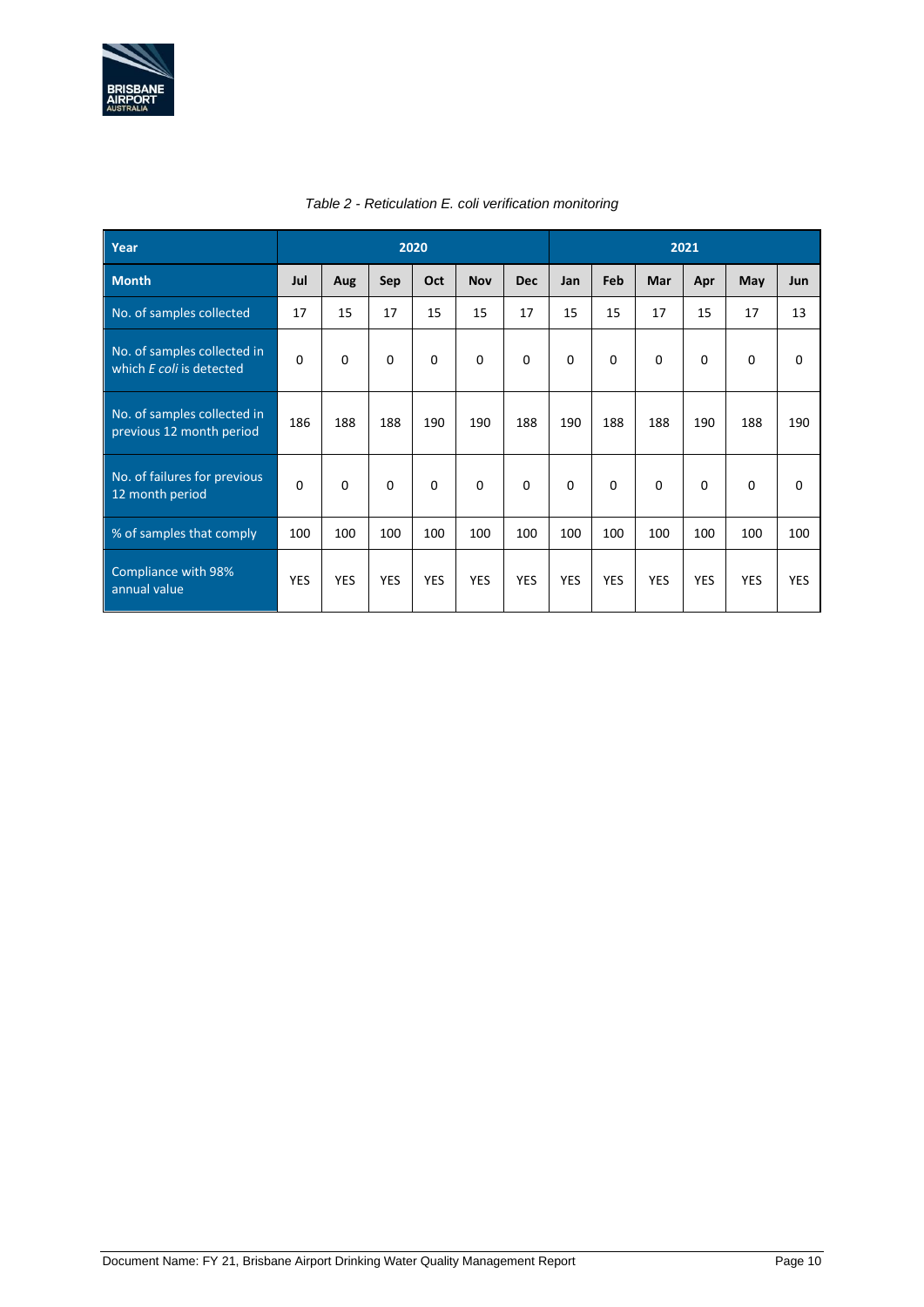

| Year                                                    | 2020       |            |            |            |            |            | 2021       |            |            |            |             |            |  |
|---------------------------------------------------------|------------|------------|------------|------------|------------|------------|------------|------------|------------|------------|-------------|------------|--|
| <b>Month</b>                                            | Jul        | Aug        | Sep        | Oct        | <b>Nov</b> | <b>Dec</b> | Jan        | Feb        | Mar        | Apr        | May         | Jun        |  |
| No. of samples collected                                | 17         | 15         | 17         | 15         | 15         | 17         | 15         | 15         | 17         | 15         | 17          | 13         |  |
| No. of samples collected in<br>which E coli is detected | $\Omega$   | $\Omega$   | $\Omega$   | 0          | $\Omega$   | 0          | 0          | $\Omega$   | $\Omega$   | $\Omega$   | $\mathbf 0$ | 0          |  |
| No. of samples collected in<br>previous 12 month period | 186        | 188        | 188        | 190        | 190        | 188        | 190        | 188        | 188        | 190        | 188         | 190        |  |
| No. of failures for previous<br>12 month period         | $\Omega$   | $\Omega$   | $\Omega$   | $\Omega$   | $\Omega$   | $\Omega$   | 0          | $\Omega$   | $\Omega$   | $\Omega$   | $\Omega$    | 0          |  |
| % of samples that comply                                | 100        | 100        | 100        | 100        | 100        | 100        | 100        | 100        | 100        | 100        | 100         | 100        |  |
| Compliance with 98%<br>annual value                     | <b>YES</b> | <b>YES</b> | <b>YES</b> | <b>YES</b> | <b>YES</b> | <b>YES</b> | <b>YES</b> | <b>YES</b> | <b>YES</b> | <b>YES</b> | <b>YES</b>  | <b>YES</b> |  |

#### *Table 2 - Reticulation E. coli verification monitoring*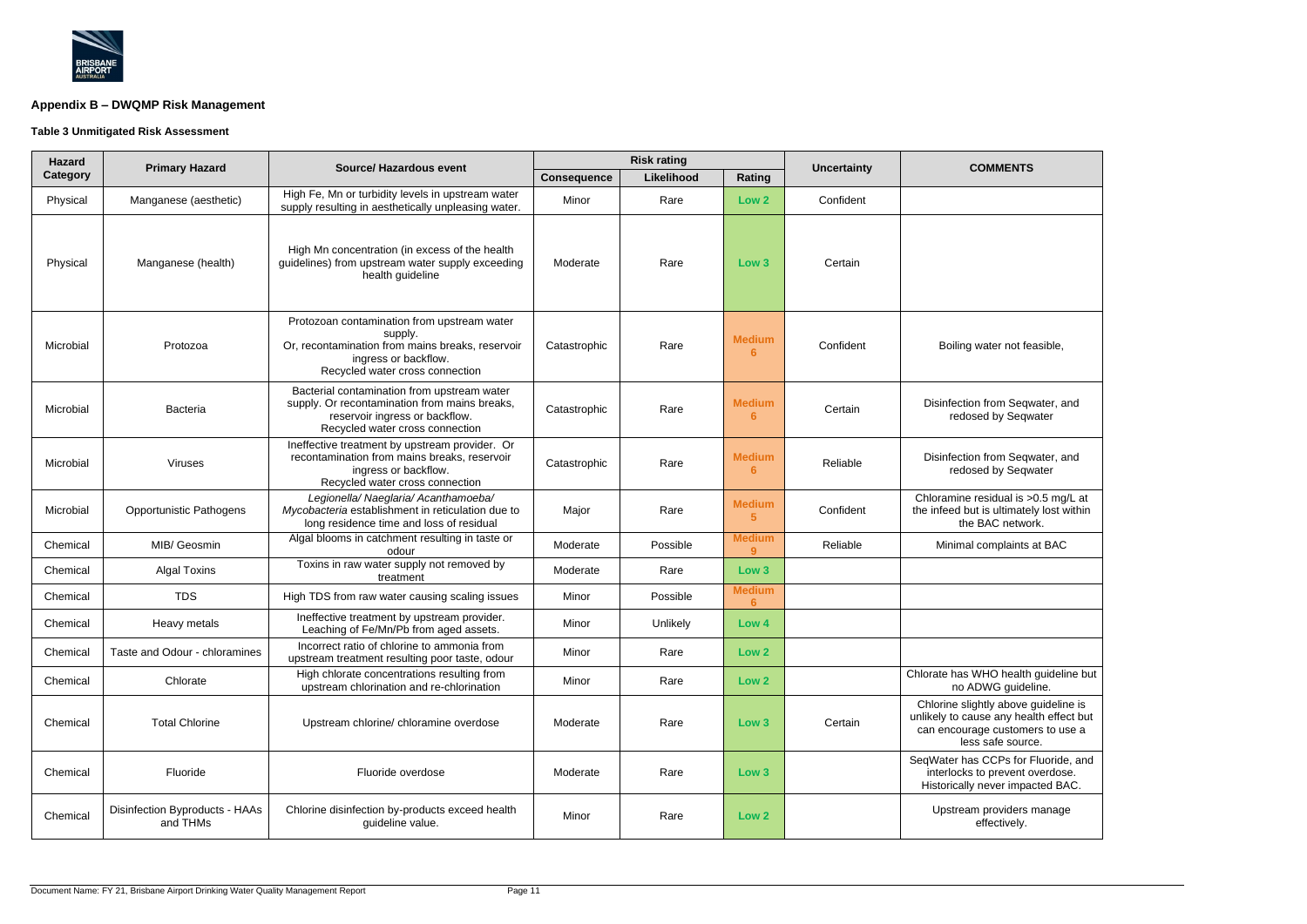

# **Appendix B – DWQMP Risk Management**

# **Table 3 Unmitigated Risk Assessment**

| <b>Hazard</b> | <b>Primary Hazard</b>                      | <b>Source/ Hazardous event</b>                                                                                                                                        |                    | <b>Risk rating</b> |                    | <b>Uncertainty</b> | <b>COMMENTS</b>                                                                                                                          |  |
|---------------|--------------------------------------------|-----------------------------------------------------------------------------------------------------------------------------------------------------------------------|--------------------|--------------------|--------------------|--------------------|------------------------------------------------------------------------------------------------------------------------------------------|--|
| Category      |                                            |                                                                                                                                                                       | <b>Consequence</b> | Likelihood         | Rating             |                    |                                                                                                                                          |  |
| Physical      | Manganese (aesthetic)                      | High Fe, Mn or turbidity levels in upstream water<br>supply resulting in aesthetically unpleasing water.                                                              | Minor              | Rare               | Low <sub>2</sub>   | Confident          |                                                                                                                                          |  |
| Physical      | Manganese (health)                         | High Mn concentration (in excess of the health<br>guidelines) from upstream water supply exceeding<br>health guideline                                                | Moderate           | Rare               | Low 3              | Certain            |                                                                                                                                          |  |
| Microbial     | Protozoa                                   | Protozoan contamination from upstream water<br>supply.<br>Or, recontamination from mains breaks, reservoir<br>ingress or backflow.<br>Recycled water cross connection | Catastrophic       | Rare               | <b>Medium</b><br>6 | Confident          | Boiling water not feasible,                                                                                                              |  |
| Microbial     | <b>Bacteria</b>                            | Bacterial contamination from upstream water<br>supply. Or recontamination from mains breaks,<br>reservoir ingress or backflow.<br>Recycled water cross connection     | Catastrophic       | Rare               | <b>Medium</b><br>6 | Certain            | Disinfection from Seqwater, and<br>redosed by Seqwater                                                                                   |  |
| Microbial     | Viruses                                    | Ineffective treatment by upstream provider. Or<br>recontamination from mains breaks, reservoir<br>ingress or backflow.<br>Recycled water cross connection             | Catastrophic       | Rare               | <b>Medium</b><br>6 | Reliable           | Disinfection from Seqwater, and<br>redosed by Seqwater                                                                                   |  |
| Microbial     | <b>Opportunistic Pathogens</b>             | Legionella/ Naeglaria/ Acanthamoeba/<br>Mycobacteria establishment in reticulation due to<br>long residence time and loss of residual                                 | Major              | Rare               | <b>Medium</b><br>5 | Confident          | Chloramine residual is >0.5 mg/L at<br>the infeed but is ultimately lost within<br>the BAC network.                                      |  |
| Chemical      | MIB/ Geosmin                               | Algal blooms in catchment resulting in taste or<br>odour                                                                                                              | Moderate           | Possible           | <b>Medium</b><br>9 | Reliable           | Minimal complaints at BAC                                                                                                                |  |
| Chemical      | <b>Algal Toxins</b>                        | Toxins in raw water supply not removed by<br>treatment                                                                                                                | Moderate           | Rare               | Low <sub>3</sub>   |                    |                                                                                                                                          |  |
| Chemical      | <b>TDS</b>                                 | High TDS from raw water causing scaling issues                                                                                                                        | Minor              | Possible           | <b>Medium</b><br>6 |                    |                                                                                                                                          |  |
| Chemical      | Heavy metals                               | Ineffective treatment by upstream provider.<br>Leaching of Fe/Mn/Pb from aged assets.                                                                                 | Minor              | Unlikely           | Low 4              |                    |                                                                                                                                          |  |
| Chemical      | Taste and Odour - chloramines              | Incorrect ratio of chlorine to ammonia from<br>upstream treatment resulting poor taste, odour                                                                         | Minor              | Rare               | Low <sub>2</sub>   |                    |                                                                                                                                          |  |
| Chemical      | Chlorate                                   | High chlorate concentrations resulting from<br>upstream chlorination and re-chlorination                                                                              | Minor              | Rare               | Low <sub>2</sub>   |                    | Chlorate has WHO health guideline but<br>no ADWG guideline.                                                                              |  |
| Chemical      | <b>Total Chlorine</b>                      | Upstream chlorine/ chloramine overdose                                                                                                                                | Moderate           | Rare               | Low 3              | Certain            | Chlorine slightly above guideline is<br>unlikely to cause any health effect but<br>can encourage customers to use a<br>less safe source. |  |
| Chemical      | Fluoride                                   | Fluoride overdose                                                                                                                                                     | Moderate           | Rare               | Low <sub>3</sub>   |                    | SeqWater has CCPs for Fluoride, and<br>interlocks to prevent overdose.<br>Historically never impacted BAC.                               |  |
| Chemical      | Disinfection Byproducts - HAAs<br>and THMs | Chlorine disinfection by-products exceed health<br>guideline value.                                                                                                   | Minor              | Rare               | Low <sub>2</sub>   |                    | Upstream providers manage<br>effectively.                                                                                                |  |

| <b>COMMENTS</b>                                                                                                                          |
|------------------------------------------------------------------------------------------------------------------------------------------|
|                                                                                                                                          |
|                                                                                                                                          |
|                                                                                                                                          |
|                                                                                                                                          |
|                                                                                                                                          |
| Boiling water not feasible,                                                                                                              |
| Disinfection from Seqwater, and<br>redosed by Seqwater                                                                                   |
| Disinfection from Seqwater, and<br>redosed by Seqwater                                                                                   |
| Chloramine residual is >0.5 mg/L at<br>the infeed but is ultimately lost within<br>the BAC network.                                      |
| Minimal complaints at BAC                                                                                                                |
|                                                                                                                                          |
|                                                                                                                                          |
|                                                                                                                                          |
|                                                                                                                                          |
| Chlorate has WHO health guideline but<br>no ADWG guideline.                                                                              |
| Chlorine slightly above guideline is<br>unlikely to cause any health effect but<br>can encourage customers to use a<br>less safe source. |
| SeqWater has CCPs for Fluoride, and<br>interlocks to prevent overdose.<br>Historically never impacted BAC.                               |
| Upstream providers manage<br>effectively.                                                                                                |

÷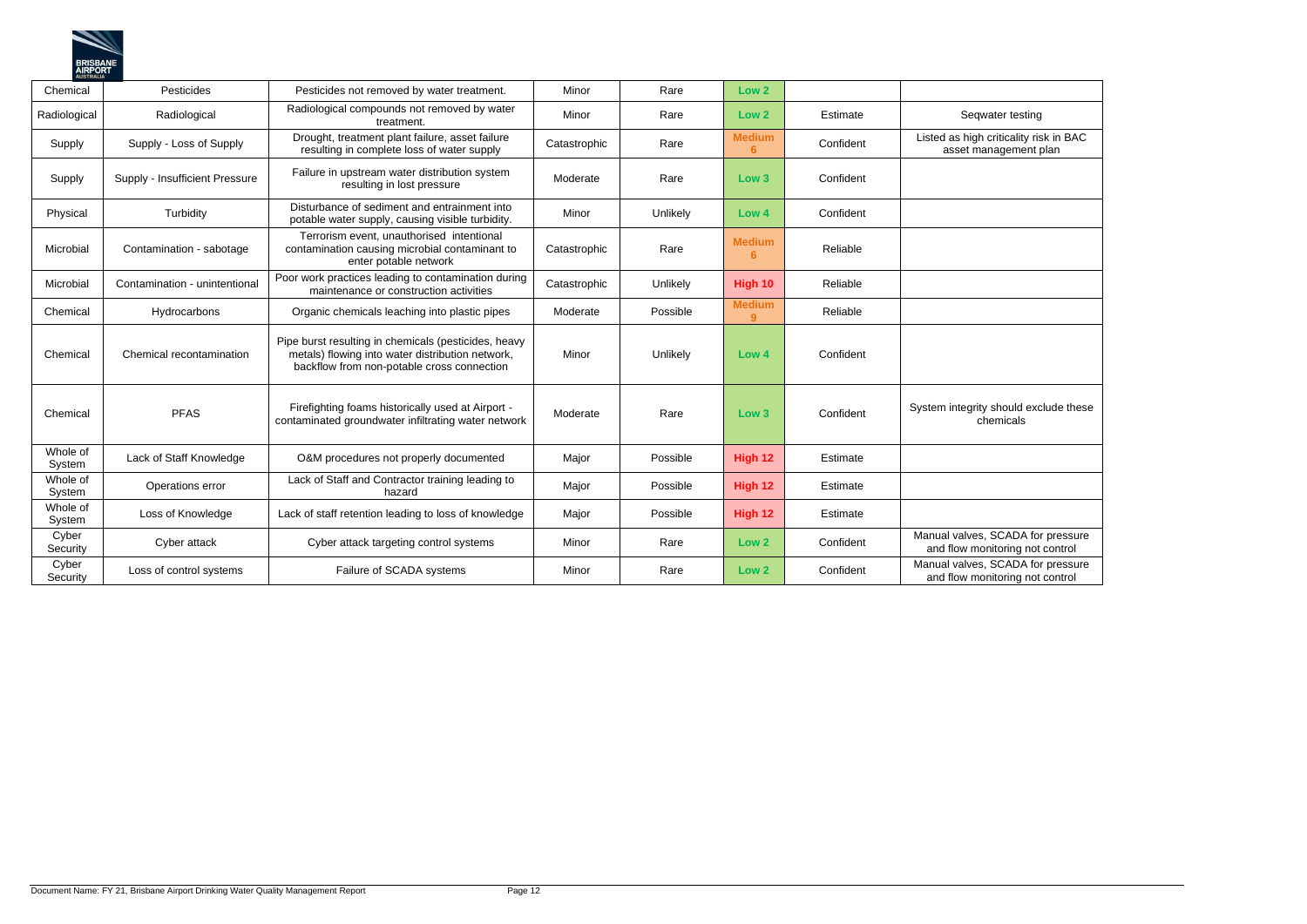| Seqwater testing                                                    |
|---------------------------------------------------------------------|
| sted as high criticality risk in BAC<br>asset management plan       |
|                                                                     |
|                                                                     |
|                                                                     |
|                                                                     |
|                                                                     |
|                                                                     |
|                                                                     |
|                                                                     |
|                                                                     |
|                                                                     |
|                                                                     |
| tem integrity should exclude these<br>chemicals                     |
|                                                                     |
|                                                                     |
|                                                                     |
|                                                                     |
| anual valves, SCADA for pressure                                    |
| and flow monitoring not control                                     |
| anual valves, SCADA for pressure<br>and flow monitoring not control |



| Chemical           | Pesticides                     | Pesticides not removed by water treatment.                                                                                                             | Minor        | Rare     | Low <sub>2</sub>    |           |                                                                      |
|--------------------|--------------------------------|--------------------------------------------------------------------------------------------------------------------------------------------------------|--------------|----------|---------------------|-----------|----------------------------------------------------------------------|
|                    |                                |                                                                                                                                                        |              |          |                     |           |                                                                      |
| Radiological       | Radiological                   | Radiological compounds not removed by water<br>treatment.                                                                                              | Minor        | Rare     | Low <sub>2</sub>    | Estimate  | Seqwater testing                                                     |
| Supply             | Supply - Loss of Supply        | Drought, treatment plant failure, asset failure<br>resulting in complete loss of water supply                                                          | Catastrophic | Rare     | <b>Medium</b><br>6  | Confident | Listed as high criticality risk in BAC<br>asset management plan      |
| Supply             | Supply - Insufficient Pressure | Failure in upstream water distribution system<br>resulting in lost pressure                                                                            | Moderate     | Rare     | Low <sub>3</sub>    | Confident |                                                                      |
| Physical           | Turbidity                      | Disturbance of sediment and entrainment into<br>potable water supply, causing visible turbidity.                                                       | Minor        | Unlikely | Low 4               | Confident |                                                                      |
| Microbial          | Contamination - sabotage       | Terrorism event, unauthorised intentional<br>contamination causing microbial contaminant to<br>enter potable network                                   | Catastrophic | Rare     | <b>Medium</b><br>6  | Reliable  |                                                                      |
| Microbial          | Contamination - unintentional  | Poor work practices leading to contamination during<br>maintenance or construction activities                                                          | Catastrophic | Unlikely | High 10             | Reliable  |                                                                      |
| Chemical           | Hydrocarbons                   | Organic chemicals leaching into plastic pipes                                                                                                          | Moderate     | Possible | <b>Medium</b><br>9. | Reliable  |                                                                      |
| Chemical           | Chemical recontamination       | Pipe burst resulting in chemicals (pesticides, heavy<br>metals) flowing into water distribution network,<br>backflow from non-potable cross connection | Minor        | Unlikely | Low 4               | Confident |                                                                      |
| Chemical           | <b>PFAS</b>                    | Firefighting foams historically used at Airport -<br>contaminated groundwater infiltrating water network                                               | Moderate     | Rare     | Low <sub>3</sub>    | Confident | System integrity should exclude these<br>chemicals                   |
| Whole of<br>System | Lack of Staff Knowledge        | O&M procedures not properly documented                                                                                                                 | Major        | Possible | High 12             | Estimate  |                                                                      |
| Whole of<br>System | Operations error               | Lack of Staff and Contractor training leading to<br>hazard                                                                                             | Major        | Possible | High 12             | Estimate  |                                                                      |
| Whole of<br>System | Loss of Knowledge              | Lack of staff retention leading to loss of knowledge                                                                                                   | Major        | Possible | High 12             | Estimate  |                                                                      |
| Cyber<br>Security  | Cyber attack                   | Cyber attack targeting control systems                                                                                                                 | Minor        | Rare     | Low <sub>2</sub>    | Confident | Manual valves, SCADA for pressure<br>and flow monitoring not control |
| Cyber<br>Security  | Loss of control systems        | Failure of SCADA systems                                                                                                                               | Minor        | Rare     | Low <sub>2</sub>    | Confident | Manual valves, SCADA for pressure<br>and flow monitoring not control |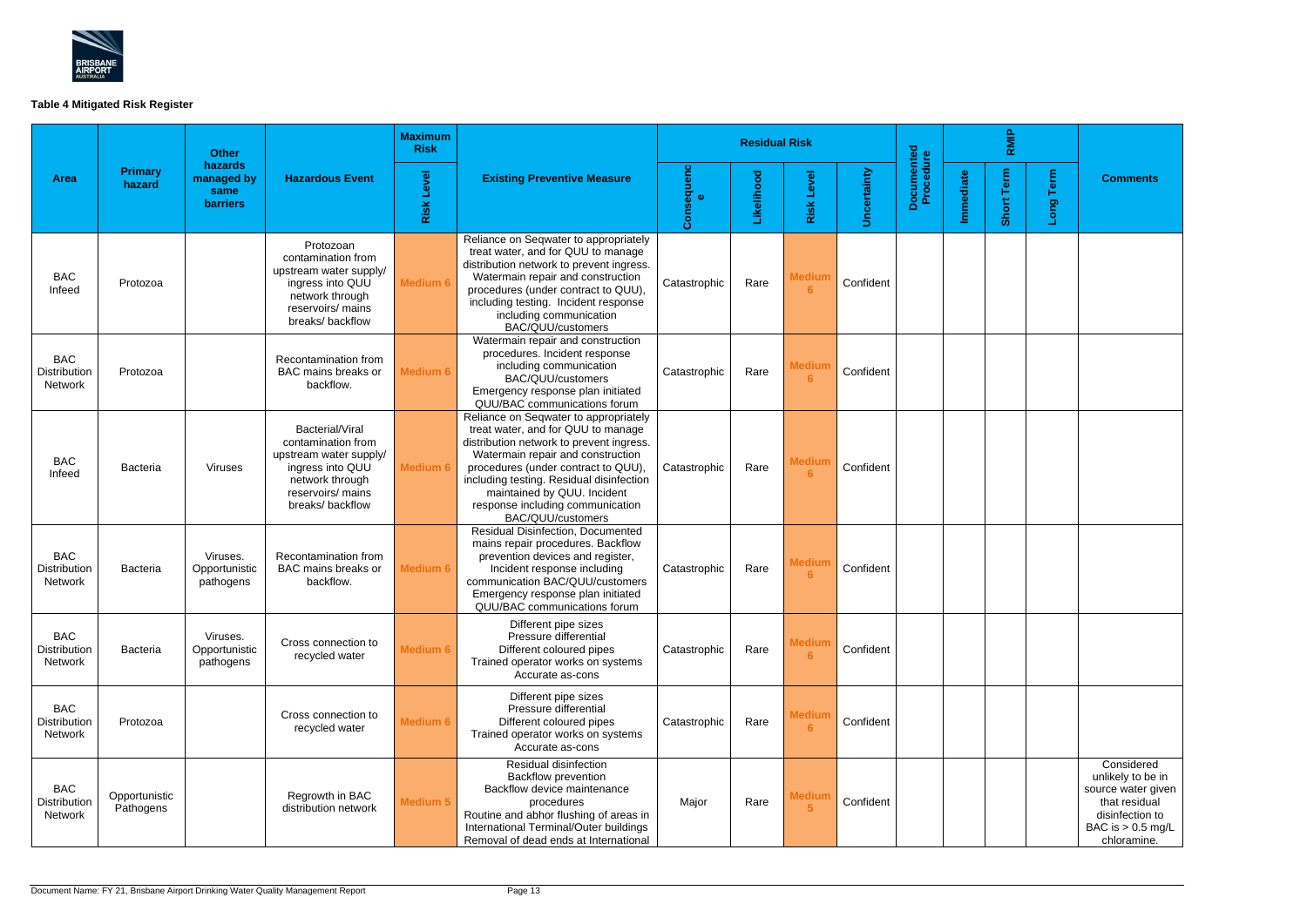

# **Table 4 Mitigated Risk Register**

|                                              |                            | <b>Other</b>                                     |                                                                                                                                                | <b>Maximum</b><br><b>Risk</b>                           |                                                                                                                                                                                                                                                                                                                                         | <b>Residual Risk</b>   |            |                                 |                    |                         | RMIP      |            |           |                                                                                                                                 |
|----------------------------------------------|----------------------------|--------------------------------------------------|------------------------------------------------------------------------------------------------------------------------------------------------|---------------------------------------------------------|-----------------------------------------------------------------------------------------------------------------------------------------------------------------------------------------------------------------------------------------------------------------------------------------------------------------------------------------|------------------------|------------|---------------------------------|--------------------|-------------------------|-----------|------------|-----------|---------------------------------------------------------------------------------------------------------------------------------|
| <b>Area</b>                                  | <b>Primary</b><br>hazard   | hazards<br>managed by<br>same<br><b>barriers</b> | <b>Hazardous Event</b>                                                                                                                         | <b>Risk Level</b><br><b>Existing Preventive Measure</b> |                                                                                                                                                                                                                                                                                                                                         | Consequenc<br>$\alpha$ | Likelihood | <b>Risk Level</b>               | <b>Uncertainty</b> | Documented<br>Procedure | Immediate | Short Term | Long Term | <b>Comments</b>                                                                                                                 |
| <b>BAC</b><br>Infeed                         | Protozoa                   |                                                  | Protozoan<br>contamination from<br>upstream water supply/<br>ingress into QUU<br>network through<br>reservoirs/ mains<br>breaks/backflow       | <b>Medium 6</b>                                         | Reliance on Seqwater to appropriately<br>treat water, and for QUU to manage<br>distribution network to prevent ingress.<br>Watermain repair and construction<br>procedures (under contract to QUU),<br>including testing. Incident response<br>including communication<br>BAC/QUU/customers                                             | Catastrophic           | Rare       | <b>Medium</b><br>6              | Confident          |                         |           |            |           |                                                                                                                                 |
| <b>BAC</b><br><b>Distribution</b><br>Network | Protozoa                   |                                                  | Recontamination from<br>BAC mains breaks or<br>backflow.                                                                                       | <b>Medium 6</b>                                         | Watermain repair and construction<br>procedures. Incident response<br>including communication<br>BAC/QUU/customers<br>Emergency response plan initiated<br>QUU/BAC communications forum                                                                                                                                                 | Catastrophic           | Rare       | <b>Medium</b><br>6              | Confident          |                         |           |            |           |                                                                                                                                 |
| <b>BAC</b><br>Infeed                         | Bacteria                   | <b>Viruses</b>                                   | Bacterial/Viral<br>contamination from<br>upstream water supply/<br>ingress into QUU<br>network through<br>reservoirs/ mains<br>breaks/backflow | <b>Medium 6</b>                                         | Reliance on Seqwater to appropriately<br>treat water, and for QUU to manage<br>distribution network to prevent ingress.<br>Watermain repair and construction<br>procedures (under contract to QUU),<br>including testing. Residual disinfection<br>maintained by QUU. Incident<br>response including communication<br>BAC/QUU/customers | Catastrophic           | Rare       | <b>Medium</b><br>6              | Confident          |                         |           |            |           |                                                                                                                                 |
| <b>BAC</b><br>Distribution<br>Network        | <b>Bacteria</b>            | Viruses.<br>Opportunistic<br>pathogens           | Recontamination from<br>BAC mains breaks or<br>backflow.                                                                                       | Medium 6                                                | <b>Residual Disinfection, Documented</b><br>mains repair procedures. Backflow<br>prevention devices and register,<br>Incident response including<br>communication BAC/QUU/customers<br>Emergency response plan initiated<br>QUU/BAC communications forum                                                                                | Catastrophic           | Rare       | <b>Medium</b><br>6              | Confident          |                         |           |            |           |                                                                                                                                 |
| <b>BAC</b><br>Distribution<br>Network        | <b>Bacteria</b>            | Viruses.<br>Opportunistic<br>pathogens           | Cross connection to<br>recycled water                                                                                                          | <b>Medium 6</b>                                         | Different pipe sizes<br>Pressure differential<br>Different coloured pipes<br>Trained operator works on systems<br>Accurate as-cons                                                                                                                                                                                                      | Catastrophic           | Rare       | <b>Medium</b><br>6 <sup>°</sup> | Confident          |                         |           |            |           |                                                                                                                                 |
| <b>BAC</b><br>Distribution<br>Network        | Protozoa                   |                                                  | Cross connection to<br>recycled water                                                                                                          | Medium 6                                                | Different pipe sizes<br>Pressure differential<br>Different coloured pipes<br>Trained operator works on systems<br>Accurate as-cons                                                                                                                                                                                                      | Catastrophic           | Rare       | <b>Medium</b><br>6              | Confident          |                         |           |            |           |                                                                                                                                 |
| <b>BAC</b><br><b>Distribution</b><br>Network | Opportunistic<br>Pathogens |                                                  | Regrowth in BAC<br>distribution network                                                                                                        | Medium 5                                                | Residual disinfection<br>Backflow prevention<br>Backflow device maintenance<br>procedures<br>Routine and abhor flushing of areas in<br>International Terminal/Outer buildings<br>Removal of dead ends at International                                                                                                                  | Major                  | Rare       | <b>Medium</b><br>$5\phantom{1}$ | Confident          |                         |           |            |           | Considered<br>unlikely to be in<br>source water given<br>that residual<br>disinfection to<br>BAC is $> 0.5$ mg/L<br>chloramine. |